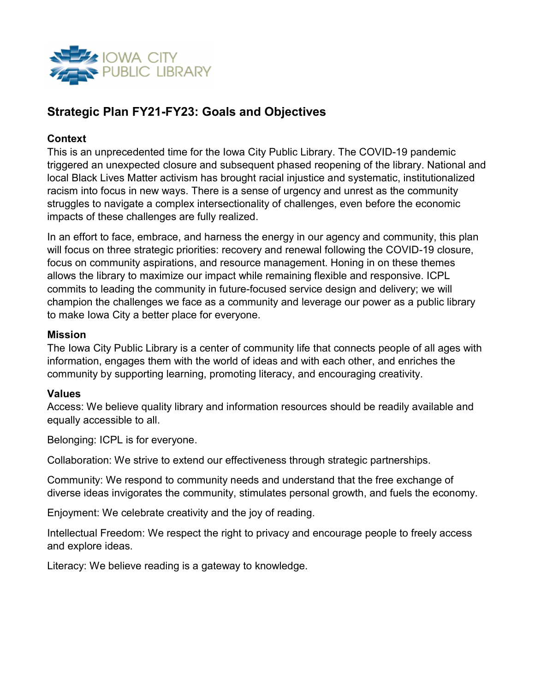

# Strategic Plan FY21-FY23: Goals and Objectives

### **Context**

This is an unprecedented time for the Iowa City Public Library. The COVID-19 pandemic triggered an unexpected closure and subsequent phased reopening of the library. National and local Black Lives Matter activism has brought racial injustice and systematic, institutionalized racism into focus in new ways. There is a sense of urgency and unrest as the community struggles to navigate a complex intersectionality of challenges, even before the economic impacts of these challenges are fully realized.

In an effort to face, embrace, and harness the energy in our agency and community, this plan will focus on three strategic priorities: recovery and renewal following the COVID-19 closure, focus on community aspirations, and resource management. Honing in on these themes allows the library to maximize our impact while remaining flexible and responsive. ICPL commits to leading the community in future-focused service design and delivery; we will champion the challenges we face as a community and leverage our power as a public library to make Iowa City a better place for everyone.

#### Mission

The Iowa City Public Library is a center of community life that connects people of all ages with information, engages them with the world of ideas and with each other, and enriches the community by supporting learning, promoting literacy, and encouraging creativity.

#### Values

Access: We believe quality library and information resources should be readily available and equally accessible to all.

Belonging: ICPL is for everyone.

Collaboration: We strive to extend our effectiveness through strategic partnerships.

Community: We respond to community needs and understand that the free exchange of diverse ideas invigorates the community, stimulates personal growth, and fuels the economy.

Enjoyment: We celebrate creativity and the joy of reading.

Intellectual Freedom: We respect the right to privacy and encourage people to freely access and explore ideas.

Literacy: We believe reading is a gateway to knowledge.